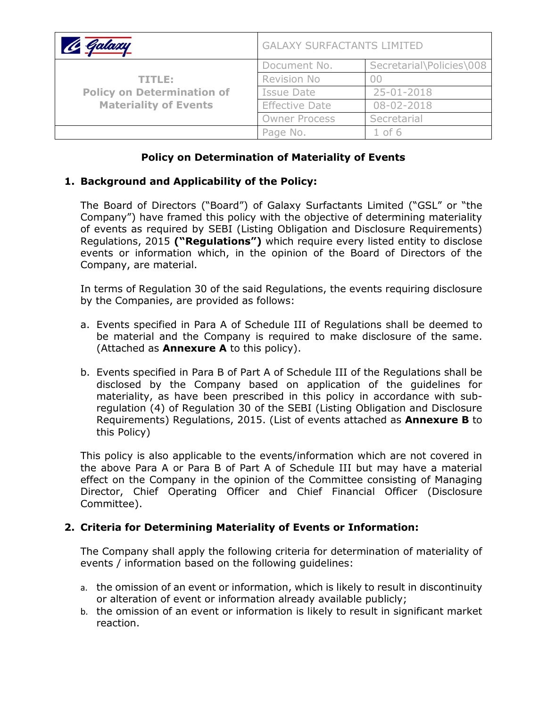| <u> le Galaxy</u>                                                           | <b>GALAXY SURFACTANTS LIMITED</b> |                          |
|-----------------------------------------------------------------------------|-----------------------------------|--------------------------|
| TITLE:<br><b>Policy on Determination of</b><br><b>Materiality of Events</b> | Document No.                      | Secretarial\Policies\008 |
|                                                                             | Revision No                       |                          |
|                                                                             | Issue Date                        | 25-01-2018               |
|                                                                             | <b>Effective Date</b>             | $08 - 02 - 2018$         |
|                                                                             | <b>Owner Process</b>              | Secretarial              |
|                                                                             | Page No.                          | $1$ of $6$               |

# **Policy on Determination of Materiality of Events**

## **1. Background and Applicability of the Policy:**

The Board of Directors ("Board") of Galaxy Surfactants Limited ("GSL" or "the Company") have framed this policy with the objective of determining materiality of events as required by SEBI (Listing Obligation and Disclosure Requirements) Regulations, 2015 **("Regulations")** which require every listed entity to disclose events or information which, in the opinion of the Board of Directors of the Company, are material.

In terms of Regulation 30 of the said Regulations, the events requiring disclosure by the Companies, are provided as follows:

- a. Events specified in Para A of Schedule III of Regulations shall be deemed to be material and the Company is required to make disclosure of the same. (Attached as **Annexure A** to this policy).
- b. Events specified in Para B of Part A of Schedule III of the Regulations shall be disclosed by the Company based on application of the guidelines for materiality, as have been prescribed in this policy in accordance with subregulation (4) of Regulation 30 of the SEBI (Listing Obligation and Disclosure Requirements) Regulations, 2015. (List of events attached as **Annexure B** to this Policy)

This policy is also applicable to the events/information which are not covered in the above Para A or Para B of Part A of Schedule III but may have a material effect on the Company in the opinion of the Committee consisting of Managing Director, Chief Operating Officer and Chief Financial Officer (Disclosure Committee).

## **2. Criteria for Determining Materiality of Events or Information:**

The Company shall apply the following criteria for determination of materiality of events / information based on the following guidelines:

- a. the omission of an event or information, which is likely to result in discontinuity or alteration of event or information already available publicly;
- b. the omission of an event or information is likely to result in significant market reaction.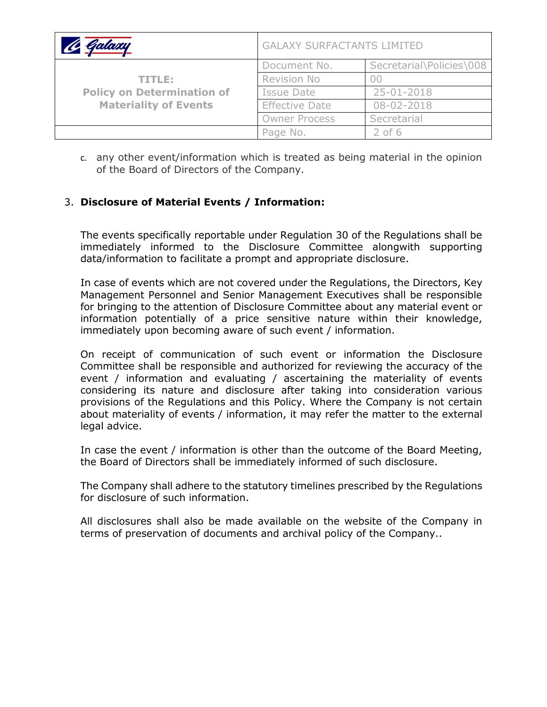| le Galaxy                                                                   | <b>GALAXY SURFACTANTS LIMITED</b> |                          |
|-----------------------------------------------------------------------------|-----------------------------------|--------------------------|
| TITLE:<br><b>Policy on Determination of</b><br><b>Materiality of Events</b> | Document No.                      | Secretarial\Policies\008 |
|                                                                             | Revision No                       |                          |
|                                                                             | Issue Date                        | $25 - 01 - 2018$         |
|                                                                             | <b>Effective Date</b>             | 08-02-2018               |
|                                                                             | <b>Owner Process</b>              | Secretarial              |
|                                                                             | Page No.                          | $2$ of 6                 |

c. any other event/information which is treated as being material in the opinion of the Board of Directors of the Company.

# 3. **Disclosure of Material Events / Information:**

The events specifically reportable under Regulation 30 of the Regulations shall be immediately informed to the Disclosure Committee alongwith supporting data/information to facilitate a prompt and appropriate disclosure.

In case of events which are not covered under the Regulations, the Directors, Key Management Personnel and Senior Management Executives shall be responsible for bringing to the attention of Disclosure Committee about any material event or information potentially of a price sensitive nature within their knowledge, immediately upon becoming aware of such event / information.

On receipt of communication of such event or information the Disclosure Committee shall be responsible and authorized for reviewing the accuracy of the event / information and evaluating / ascertaining the materiality of events considering its nature and disclosure after taking into consideration various provisions of the Regulations and this Policy. Where the Company is not certain about materiality of events / information, it may refer the matter to the external legal advice.

In case the event / information is other than the outcome of the Board Meeting, the Board of Directors shall be immediately informed of such disclosure.

The Company shall adhere to the statutory timelines prescribed by the Regulations for disclosure of such information.

All disclosures shall also be made available on the website of the Company in terms of preservation of documents and archival policy of the Company..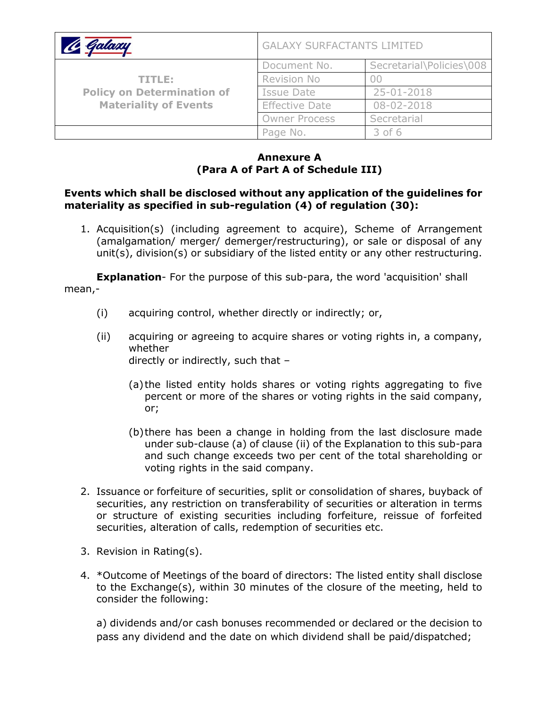| <u> le Galaxy</u>                                                           | <b>GALAXY SURFACTANTS LIMITED</b> |                          |
|-----------------------------------------------------------------------------|-----------------------------------|--------------------------|
| TITLE:<br><b>Policy on Determination of</b><br><b>Materiality of Events</b> | Document No.                      | Secretarial\Policies\008 |
|                                                                             | Revision No                       |                          |
|                                                                             | Issue Date                        | 25-01-2018               |
|                                                                             | <b>Effective Date</b>             | 08-02-2018               |
|                                                                             | <b>Owner Process</b>              | Secretarial              |
|                                                                             | Page No.                          | $3$ of $6$               |

## **Annexure A (Para A of Part A of Schedule III)**

#### **Events which shall be disclosed without any application of the guidelines for materiality as specified in sub-regulation (4) of regulation (30):**

1. Acquisition(s) (including agreement to acquire), Scheme of Arrangement (amalgamation/ merger/ demerger/restructuring), or sale or disposal of any unit(s), division(s) or subsidiary of the listed entity or any other restructuring.

**Explanation**- For the purpose of this sub-para, the word 'acquisition' shall mean,-

- (i) acquiring control, whether directly or indirectly; or,
- (ii) acquiring or agreeing to acquire shares or voting rights in, a company, whether directly or indirectly, such that –
	- (a) the listed entity holds shares or voting rights aggregating to five percent or more of the shares or voting rights in the said company, or;
	- (b)there has been a change in holding from the last disclosure made under sub-clause (a) of clause (ii) of the Explanation to this sub-para and such change exceeds two per cent of the total shareholding or voting rights in the said company.
- 2. Issuance or forfeiture of securities, split or consolidation of shares, buyback of securities, any restriction on transferability of securities or alteration in terms or structure of existing securities including forfeiture, reissue of forfeited securities, alteration of calls, redemption of securities etc.
- 3. Revision in Rating(s).
- 4. \*Outcome of Meetings of the board of directors: The listed entity shall disclose to the Exchange(s), within 30 minutes of the closure of the meeting, held to consider the following:

a) dividends and/or cash bonuses recommended or declared or the decision to pass any dividend and the date on which dividend shall be paid/dispatched;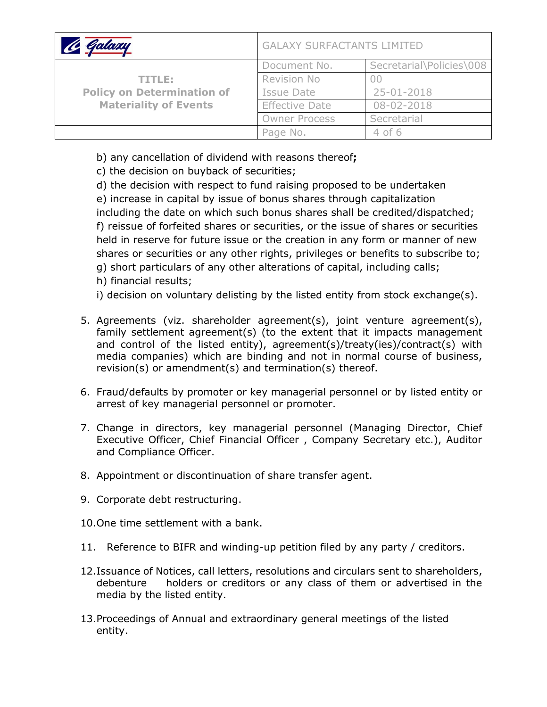| Galaxy                                                                      | <b>GALAXY SURFACTANTS LIMITED</b> |                          |
|-----------------------------------------------------------------------------|-----------------------------------|--------------------------|
| TITLE:<br><b>Policy on Determination of</b><br><b>Materiality of Events</b> | Document No.                      | Secretarial\Policies\008 |
|                                                                             | Revision No                       |                          |
|                                                                             | Issue Date                        | 25-01-2018               |
|                                                                             | <b>Effective Date</b>             | 08-02-2018               |
|                                                                             | <b>Owner Process</b>              | Secretarial              |
|                                                                             | Page No.                          | $4$ of 6                 |

b) any cancellation of dividend with reasons thereof**;**

c) the decision on buyback of securities;

d) the decision with respect to fund raising proposed to be undertaken e) increase in capital by issue of bonus shares through capitalization including the date on which such bonus shares shall be credited/dispatched; f) reissue of forfeited shares or securities, or the issue of shares or securities held in reserve for future issue or the creation in any form or manner of new shares or securities or any other rights, privileges or benefits to subscribe to; g) short particulars of any other alterations of capital, including calls; h) financial results;

i) decision on voluntary delisting by the listed entity from stock exchange(s).

- 5. Agreements (viz. shareholder agreement(s), joint venture agreement(s), family settlement agreement(s) (to the extent that it impacts management and control of the listed entity), agreement(s)/treaty(ies)/contract(s) with media companies) which are binding and not in normal course of business, revision(s) or amendment(s) and termination(s) thereof.
- 6. Fraud/defaults by promoter or key managerial personnel or by listed entity or arrest of key managerial personnel or promoter.
- 7. Change in directors, key managerial personnel (Managing Director, Chief Executive Officer, Chief Financial Officer , Company Secretary etc.), Auditor and Compliance Officer.
- 8. Appointment or discontinuation of share transfer agent.
- 9. Corporate debt restructuring.
- 10.One time settlement with a bank.
- 11. Reference to BIFR and winding-up petition filed by any party / creditors.
- 12.Issuance of Notices, call letters, resolutions and circulars sent to shareholders, debenture holders or creditors or any class of them or advertised in the media by the listed entity.
- 13.Proceedings of Annual and extraordinary general meetings of the listed entity.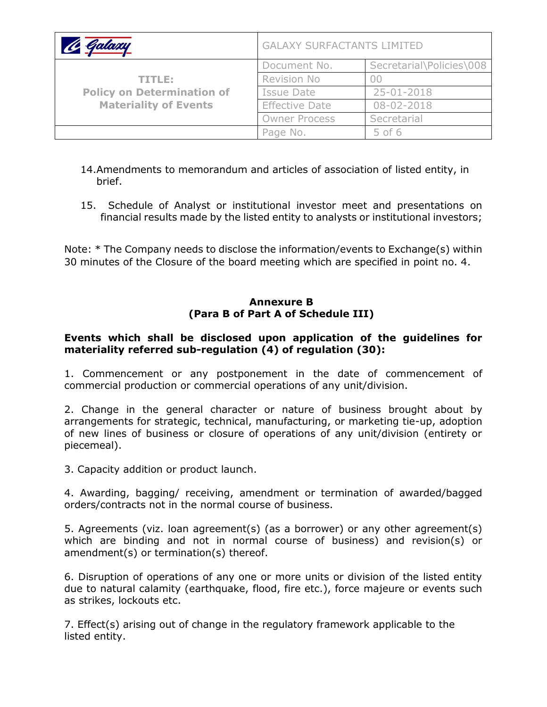| Galaxy                                                                      | <b>GALAXY SURFACTANTS LIMITED</b> |                          |
|-----------------------------------------------------------------------------|-----------------------------------|--------------------------|
| TITLE:<br><b>Policy on Determination of</b><br><b>Materiality of Events</b> | Document No.                      | Secretarial\Policies\008 |
|                                                                             | Revision No                       |                          |
|                                                                             | <b>Issue Date</b>                 | 25-01-2018               |
|                                                                             | <b>Effective Date</b>             | 08-02-2018               |
|                                                                             | <b>Owner Process</b>              | Secretarial              |
|                                                                             | Page No.                          | $5$ of 6                 |

- 14.Amendments to memorandum and articles of association of listed entity, in brief.
- 15. Schedule of Analyst or institutional investor meet and presentations on financial results made by the listed entity to analysts or institutional investors;

Note: \* The Company needs to disclose the information/events to Exchange(s) within 30 minutes of the Closure of the board meeting which are specified in point no. 4.

### **Annexure B (Para B of Part A of Schedule III)**

## **Events which shall be disclosed upon application of the guidelines for materiality referred sub-regulation (4) of regulation (30):**

1. Commencement or any postponement in the date of commencement of commercial production or commercial operations of any unit/division.

2. Change in the general character or nature of business brought about by arrangements for strategic, technical, manufacturing, or marketing tie-up, adoption of new lines of business or closure of operations of any unit/division (entirety or piecemeal).

3. Capacity addition or product launch.

4. Awarding, bagging/ receiving, amendment or termination of awarded/bagged orders/contracts not in the normal course of business.

5. Agreements (viz. loan agreement(s) (as a borrower) or any other agreement(s) which are binding and not in normal course of business) and revision(s) or amendment(s) or termination(s) thereof.

6. Disruption of operations of any one or more units or division of the listed entity due to natural calamity (earthquake, flood, fire etc.), force majeure or events such as strikes, lockouts etc.

7. Effect(s) arising out of change in the regulatory framework applicable to the listed entity.